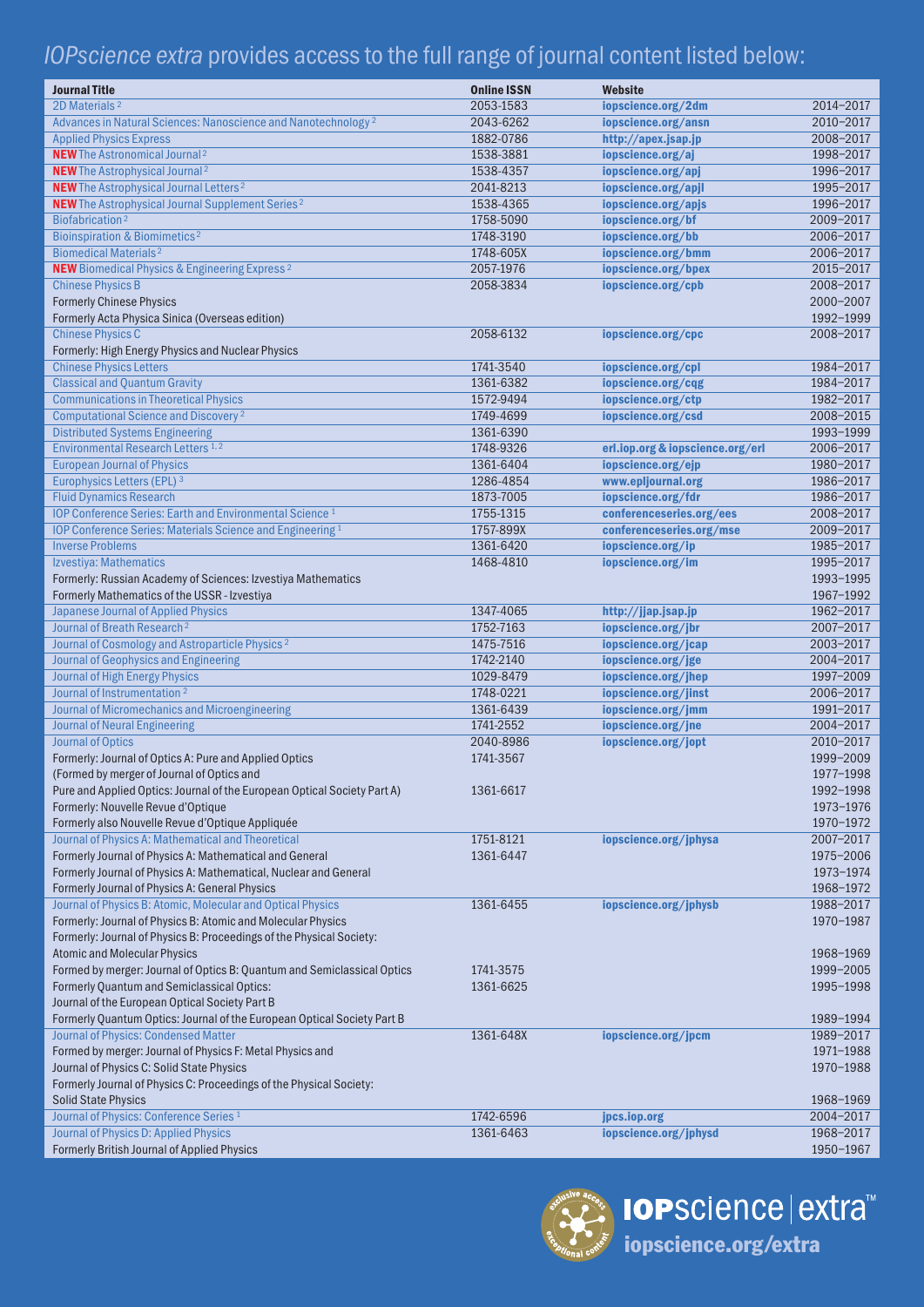## *IOPscience extra* provides access to the full range of journal content listed below:

| <b>Journal Title</b><br>2D Materials <sup>2</sup>                                  | <b>Online ISSN</b><br>2053-1583 | Website                                   | 2014-2017 |
|------------------------------------------------------------------------------------|---------------------------------|-------------------------------------------|-----------|
| Advances in Natural Sciences: Nanoscience and Nanotechnology <sup>2</sup>          | 2043-6262                       | iopscience.org/2dm<br>iopscience.org/ansn | 2010-2017 |
|                                                                                    | 1882-0786                       | http://apex.jsap.jp                       | 2008-2017 |
| <b>Applied Physics Express</b><br><b>NEW</b> The Astronomical Journal <sup>2</sup> | 1538-3881                       | iopscience.org/aj                         | 1998-2017 |
| <b>NEW</b> The Astrophysical Journal <sup>2</sup>                                  | 1538-4357                       | iopscience.org/apj                        | 1996-2017 |
| NEW The Astrophysical Journal Letters <sup>2</sup>                                 | 2041-8213                       | iopscience.org/apjl                       | 1995-2017 |
| <b>NEW</b> The Astrophysical Journal Supplement Series <sup>2</sup>                | 1538-4365                       | iopscience.org/apjs                       | 1996-2017 |
| Biofabrication <sup>2</sup>                                                        | 1758-5090                       | iopscience.org/bf                         | 2009-2017 |
| <b>Bioinspiration &amp; Biomimetics<sup>2</sup></b>                                | 1748-3190                       | iopscience.org/bb                         | 2006-2017 |
| <b>Biomedical Materials<sup>2</sup></b>                                            | 1748-605X                       | iopscience.org/bmm                        | 2006-2017 |
| <b>NEW</b> Biomedical Physics & Engineering Express <sup>2</sup>                   | 2057-1976                       | iopscience.org/bpex                       | 2015-2017 |
| <b>Chinese Physics B</b>                                                           | 2058-3834                       | iopscience.org/cpb                        | 2008-2017 |
| <b>Formerly Chinese Physics</b>                                                    |                                 |                                           | 2000-2007 |
| Formerly Acta Physica Sinica (Overseas edition)                                    |                                 |                                           | 1992-1999 |
| <b>Chinese Physics C</b>                                                           | 2058-6132                       | iopscience.org/cpc                        | 2008-2017 |
| Formerly: High Energy Physics and Nuclear Physics                                  |                                 |                                           |           |
| <b>Chinese Physics Letters</b>                                                     | 1741-3540                       | iopscience.org/cpl                        | 1984-2017 |
| <b>Classical and Quantum Gravity</b>                                               | 1361-6382                       | iopscience.org/cqg                        | 1984-2017 |
| <b>Communications in Theoretical Physics</b>                                       | 1572-9494                       | iopscience.org/ctp                        | 1982-2017 |
| Computational Science and Discovery <sup>2</sup>                                   | 1749-4699                       | iopscience.org/csd                        | 2008-2015 |
| <b>Distributed Systems Engineering</b>                                             | 1361-6390                       |                                           | 1993-1999 |
| Environmental Research Letters 1,2                                                 | 1748-9326                       | erl.iop.org & iopscience.org/erl          | 2006-2017 |
| <b>European Journal of Physics</b>                                                 | 1361-6404                       | iopscience.org/ejp                        | 1980-2017 |
| Europhysics Letters (EPL) 3                                                        | 1286-4854                       | www.epljournal.org                        | 1986-2017 |
| <b>Fluid Dynamics Research</b>                                                     | 1873-7005                       | iopscience.org/fdr                        | 1986-2017 |
| <b>IOP Conference Series: Earth and Environmental Science 1</b>                    | 1755-1315                       | conferenceseries.org/ees                  | 2008-2017 |
| IOP Conference Series: Materials Science and Engineering 1                         | 1757-899X                       | conferenceseries.org/mse                  | 2009-2017 |
| <b>Inverse Problems</b>                                                            | 1361-6420                       | iopscience.org/ip                         | 1985-2017 |
| Izvestiya: Mathematics                                                             | 1468-4810                       | iopscience.org/im                         | 1995-2017 |
| Formerly: Russian Academy of Sciences: Izvestiya Mathematics                       |                                 |                                           | 1993-1995 |
| Formerly Mathematics of the USSR - Izvestiya                                       |                                 |                                           | 1967-1992 |
| <b>Japanese Journal of Applied Physics</b>                                         | 1347-4065                       | http://jjap.jsap.jp                       | 1962-2017 |
| Journal of Breath Research <sup>2</sup>                                            | 1752-7163                       | iopscience.org/jbr                        | 2007-2017 |
| Journal of Cosmology and Astroparticle Physics <sup>2</sup>                        | 1475-7516                       | iopscience.org/jcap                       | 2003-2017 |
| Journal of Geophysics and Engineering                                              | 1742-2140                       | iopscience.org/jge                        | 2004-2017 |
| <b>Journal of High Energy Physics</b>                                              | 1029-8479                       | iopscience.org/jhep                       | 1997-2009 |
| Journal of Instrumentation <sup>2</sup>                                            | 1748-0221                       | iopscience.org/jinst                      | 2006-2017 |
| Journal of Micromechanics and Microengineering                                     | 1361-6439                       | iopscience.org/jmm                        | 1991-2017 |
| <b>Journal of Neural Engineering</b>                                               | 1741-2552                       | iopscience.org/jne                        | 2004-2017 |
| <b>Journal of Optics</b>                                                           | 2040-8986                       | iopscience.org/jopt                       | 2010-2017 |
| Formerly: Journal of Optics A: Pure and Applied Optics                             | 1741-3567                       |                                           | 1999-2009 |
| (Formed by merger of Journal of Optics and                                         |                                 |                                           | 1977-1998 |
| Pure and Applied Optics: Journal of the European Optical Society Part A)           | 1361-6617                       |                                           | 1992-1998 |
| Formerly: Nouvelle Revue d'Optique                                                 |                                 |                                           | 1973-1976 |
| Formerly also Nouvelle Revue d'Optique Appliquée                                   |                                 |                                           | 1970-1972 |
| Journal of Physics A: Mathematical and Theoretical                                 | 1751-8121                       | iopscience.org/jphysa                     | 2007-2017 |
| Formerly Journal of Physics A: Mathematical and General                            | 1361-6447                       |                                           | 1975-2006 |
| Formerly Journal of Physics A: Mathematical, Nuclear and General                   |                                 |                                           | 1973-1974 |
| Formerly Journal of Physics A: General Physics                                     |                                 |                                           | 1968-1972 |
| Journal of Physics B: Atomic, Molecular and Optical Physics                        | 1361-6455                       | iopscience.org/jphysb                     | 1988-2017 |
| Formerly: Journal of Physics B: Atomic and Molecular Physics                       |                                 |                                           | 1970-1987 |
| Formerly: Journal of Physics B: Proceedings of the Physical Society:               |                                 |                                           |           |
| <b>Atomic and Molecular Physics</b>                                                |                                 |                                           | 1968-1969 |
| Formed by merger: Journal of Optics B: Quantum and Semiclassical Optics            | 1741-3575                       |                                           | 1999-2005 |
| Formerly Quantum and Semiclassical Optics:                                         | 1361-6625                       |                                           | 1995-1998 |
| Journal of the European Optical Society Part B                                     |                                 |                                           |           |
| Formerly Quantum Optics: Journal of the European Optical Society Part B            |                                 |                                           | 1989-1994 |
| Journal of Physics: Condensed Matter                                               | 1361-648X                       | iopscience.org/jpcm                       | 1989-2017 |
| Formed by merger: Journal of Physics F: Metal Physics and                          |                                 |                                           | 1971-1988 |
| Journal of Physics C: Solid State Physics                                          |                                 |                                           | 1970-1988 |
| Formerly Journal of Physics C: Proceedings of the Physical Society:                |                                 |                                           |           |
| <b>Solid State Physics</b>                                                         |                                 |                                           | 1968-1969 |
| Journal of Physics: Conference Series <sup>1</sup>                                 | 1742-6596                       | jpcs.iop.org                              | 2004-2017 |
| Journal of Physics D: Applied Physics                                              | 1361-6463                       | iopscience.org/jphysd                     | 1968-2017 |
| Formerly British Journal of Applied Physics                                        |                                 |                                           | 1950-1967 |